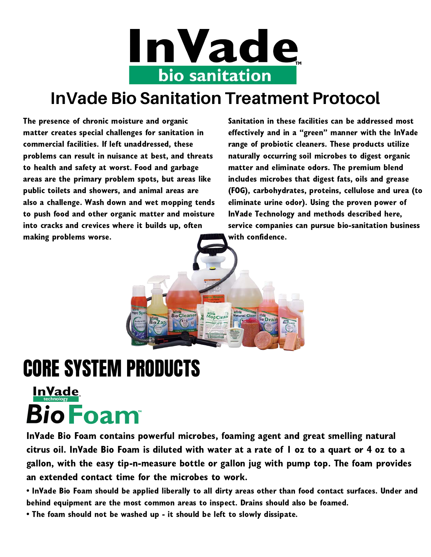

### **InVade Bio Sanitation Treatment Protocol**

The presence of chronic moisture and organic matter creates special challenges for sanitation in commercial facilities. If left unaddressed, these problems can result in nuisance at best, and threats to health and safety at worst. Food and garbage areas are the primary problem spots, but areas like public toilets and showers, and animal areas are also a challenge. Wash down and wet mopping tends to push food and other organic matter and moisture into cracks and crevices where it builds up, often making problems worse.

Sanitation in these facilities can be addressed most effectively and in a "green" manner with the InVade range of probiotic cleaners. These products utilize naturally occurring soil microbes to digest organic matter and eliminate odors. The premium blend includes microbes that digest fats, oils and grease (FOG), carbohydrates, proteins, cellulose and urea (to eliminate urine odor). Using the proven power of InVade Technology and methods described here, service companies can pursue bio-sanitation business with confidence.

# CORE SYSTEM PRODUCTS

## **InVade BioFoam**

InVade Bio Foam contains powerful microbes, foaming agent and great smelling natural citrus oil. InVade Bio Foam is diluted with water at a rate of 1 oz to a quart or 4 oz to a gallon, with the easy tip-n-measure bottle or gallon jug with pump top. The foam provides an extended contact time for the microbes to work.

Bio Cleaner MopClean Natural Clean

**Bio Drain** 

• InVade Bio Foam should be applied liberally to all dirty areas other than food contact surfaces. Under and behind equipment are the most common areas to inspect. Drains should also be foamed.

• The foam should not be washed up - it should be left to slowly dissipate.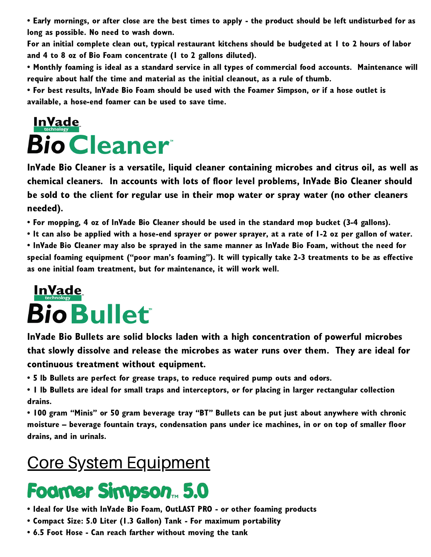• Early mornings, or after close are the best times to apply - the product should be left undisturbed for as long as possible. No need to wash down.

For an initial complete clean out, typical restaurant kitchens should be budgeted at 1 to 2 hours of labor and 4 to 8 oz of Bio Foam concentrate (1 to 2 gallons diluted).

• Monthly foaming is ideal as a standard service in all types of commercial food accounts. Maintenance will require about half the time and material as the initial cleanout, as a rule of thumb.

• For best results, InVade Bio Foam should be used with the Foamer Simpson, or if a hose outlet is available, a hose-end foamer can be used to save time.

## **InVade Bio Cleaner**

InVade Bio Cleaner is a versatile, liquid cleaner containing microbes and citrus oil, as well as chemical cleaners. In accounts with lots of floor level problems, InVade Bio Cleaner should be sold to the client for regular use in their mop water or spray water (no other cleaners needed).

• For mopping, 4 oz of InVade Bio Cleaner should be used in the standard mop bucket (3-4 gallons).

• It can also be applied with a hose-end sprayer or power sprayer, at a rate of 1-2 oz per gallon of water. • InVade Bio Cleaner may also be sprayed in the same manner as InVade Bio Foam, without the need for special foaming equipment ("poor man's foaming"). It will typically take 2-3 treatments to be as effective as one initial foam treatment, but for maintenance, it will work well.

## <u>InVade</u> **Bio Bullet**

InVade Bio Bullets are solid blocks laden with a high concentration of powerful microbes that slowly dissolve and release the microbes as water runs over them. They are ideal for continuous treatment without equipment.

• 5 lb Bullets are perfect for grease traps, to reduce required pump outs and odors.

• 1 lb Bullets are ideal for small traps and interceptors, or for placing in larger rectangular collection drains.

• 100 gram "Minis" or 50 gram beverage tray "BT" Bullets can be put just about anywhere with chronic moisture – beverage fountain trays, condensation pans under ice machines, in or on top of smaller floor drains, and in urinals.

### Core System Equipment

# Foamer Simpson<sub>m</sub> 5.0

- Ideal for Use with InVade Bio Foam, OutLAST PRO or other foaming products
- Compact Size: 5.0 Liter (1.3 Gallon) Tank For maximum portability
- 6.5 Foot Hose Can reach farther without moving the tank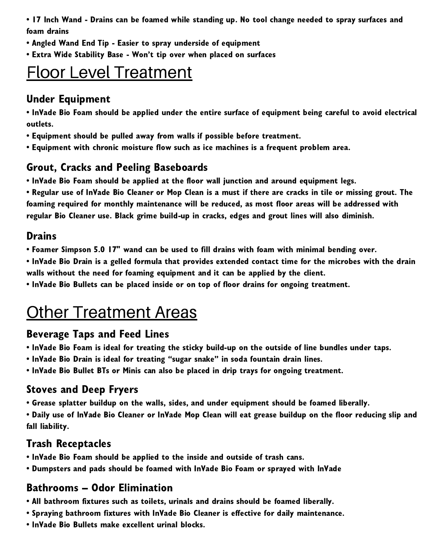• 17 Inch Wand - Drains can be foamed while standing up. No tool change needed to spray surfaces and foam drains

- Angled Wand End Tip Easier to spray underside of equipment
- Extra Wide Stability Base Won't tip over when placed on surfaces

### Floor Level Treatment

#### Under Equipment

• InVade Bio Foam should be applied under the entire surface of equipment being careful to avoid electrical outlets.

- Equipment should be pulled away from walls if possible before treatment.
- Equipment with chronic moisture flow such as ice machines is a frequent problem area.

#### Grout, Cracks and Peeling Baseboards

• InVade Bio Foam should be applied at the floor wall junction and around equipment legs.

• Regular use of InVade Bio Cleaner or Mop Clean is a must if there are cracks in tile or missing grout. The foaming required for monthly maintenance will be reduced, as most floor areas will be addressed with regular Bio Cleaner use. Black grime build-up in cracks, edges and grout lines will also diminish.

#### **Drains**

- Foamer Simpson 5.0 17" wand can be used to fill drains with foam with minimal bending over.
- InVade Bio Drain is a gelled formula that provides extended contact time for the microbes with the drain walls without the need for foaming equipment and it can be applied by the client.
- InVade Bio Bullets can be placed inside or on top of floor drains for ongoing treatment.

### **Other Treatment Areas**

#### Beverage Taps and Feed Lines

- InVade Bio Foam is ideal for treating the sticky build-up on the outside of line bundles under taps.
- InVade Bio Drain is ideal for treating "sugar snake" in soda fountain drain lines.
- InVade Bio Bullet BTs or Minis can also be placed in drip trays for ongoing treatment.

#### Stoves and Deep Fryers

- Grease splatter buildup on the walls, sides, and under equipment should be foamed liberally.
- Daily use of InVade Bio Cleaner or InVade Mop Clean will eat grease buildup on the floor reducing slip and fall liability.

#### Trash Receptacles

- InVade Bio Foam should be applied to the inside and outside of trash cans.
- Dumpsters and pads should be foamed with InVade Bio Foam or sprayed with InVade

#### Bathrooms – Odor Elimination

- All bathroom fixtures such as toilets, urinals and drains should be foamed liberally.
- Spraying bathroom fixtures with InVade Bio Cleaner is effective for daily maintenance.
- InVade Bio Bullets make excellent urinal blocks.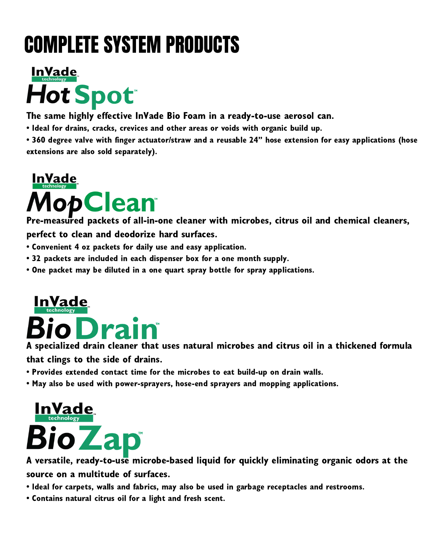# COMPLETE SYSTEM PRODUCTS



The same highly effective InVade Bio Foam in a ready-to-use aerosol can.

• Ideal for drains, cracks, crevices and other areas or voids with organic build up.

• 360 degree valve with finger actuator/straw and a reusable 24" hose extension for easy applications (hose extensions are also sold separately).

# **InVade 1opClean**

Pre-measured packets of all-in-one cleaner with microbes, citrus oil and chemical cleaners, perfect to clean and deodorize hard surfaces.

- Convenient 4 oz packets for daily use and easy application.
- 32 packets are included in each dispenser box for a one month supply.
- One packet may be diluted in a one quart spray bottle for spray applications.



A specialized drain cleaner that uses natural microbes and citrus oil in a thickened formula that clings to the side of drains.

- Provides extended contact time for the microbes to eat build-up on drain walls.
- May also be used with power-sprayers, hose-end sprayers and mopping applications.



A versatile, ready-to-use microbe-based liquid for quickly eliminating organic odors at the source on a multitude of surfaces.

- Ideal for carpets, walls and fabrics, may also be used in garbage receptacles and restrooms.
- Contains natural citrus oil for a light and fresh scent.